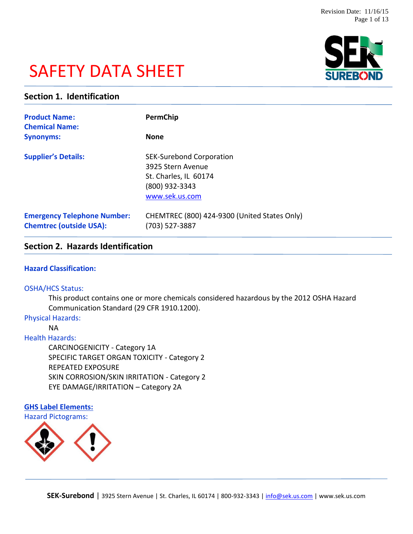# SAFETY DATA SHEET



# **Section 1. Identification**

| <b>Product Name:</b><br><b>Chemical Name:</b>                        | PermChip                                                                                                          |
|----------------------------------------------------------------------|-------------------------------------------------------------------------------------------------------------------|
| <b>Synonyms:</b>                                                     | <b>None</b>                                                                                                       |
| <b>Supplier's Details:</b>                                           | <b>SEK-Surebond Corporation</b><br>3925 Stern Avenue<br>St. Charles, IL 60174<br>(800) 932-3343<br>www.sek.us.com |
| <b>Emergency Telephone Number:</b><br><b>Chemtrec (outside USA):</b> | CHEMTREC (800) 424-9300 (United States Only)<br>(703) 527-3887                                                    |

# **Section 2. Hazards Identification**

## **Hazard Classification:**

#### OSHA/HCS Status:

This product contains one or more chemicals considered hazardous by the 2012 OSHA Hazard Communication Standard (29 CFR 1910.1200).

#### Physical Hazards:

NA

#### Health Hazards:

CARCINOGENICITY - Category 1A SPECIFIC TARGET ORGAN TOXICITY - Category 2 REPEATED EXPOSURE SKIN CORROSION/SKIN IRRITATION - Category 2 EYE DAMAGE/IRRITATION – Category 2A

# **GHS Label Elements:** Hazard Pictograms:

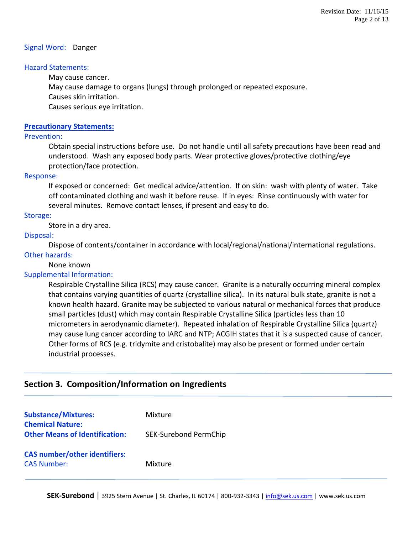#### Signal Word: Danger

#### Hazard Statements:

May cause cancer.

May cause damage to organs (lungs) through prolonged or repeated exposure.

Causes skin irritation.

Causes serious eye irritation.

## **Precautionary Statements:**

#### Prevention:

Obtain special instructions before use. Do not handle until all safety precautions have been read and understood. Wash any exposed body parts. Wear protective gloves/protective clothing/eye protection/face protection.

#### Response:

If exposed or concerned: Get medical advice/attention. If on skin: wash with plenty of water. Take off contaminated clothing and wash it before reuse. If in eyes: Rinse continuously with water for several minutes. Remove contact lenses, if present and easy to do.

#### Storage:

Store in a dry area.

#### Disposal:

Dispose of contents/container in accordance with local/regional/national/international regulations. Other hazards:

#### None known

# Supplemental Information:

Respirable Crystalline Silica (RCS) may cause cancer. Granite is a naturally occurring mineral complex that contains varying quantities of quartz (crystalline silica). In its natural bulk state, granite is not a known health hazard. Granite may be subjected to various natural or mechanical forces that produce small particles (dust) which may contain Respirable Crystalline Silica (particles less than 10 micrometers in aerodynamic diameter). Repeated inhalation of Respirable Crystalline Silica (quartz) may cause lung cancer according to IARC and NTP; ACGIH states that it is a suspected cause of cancer. Other forms of RCS (e.g. tridymite and cristobalite) may also be present or formed under certain industrial processes.

# **Section 3. Composition/Information on Ingredients**

| <b>Substance/Mixtures:</b><br><b>Chemical Nature:</b>      | Mixture               |
|------------------------------------------------------------|-----------------------|
| <b>Other Means of Identification:</b>                      | SEK-Surebond PermChip |
| <b>CAS number/other identifiers:</b><br><b>CAS Number:</b> | Mixture               |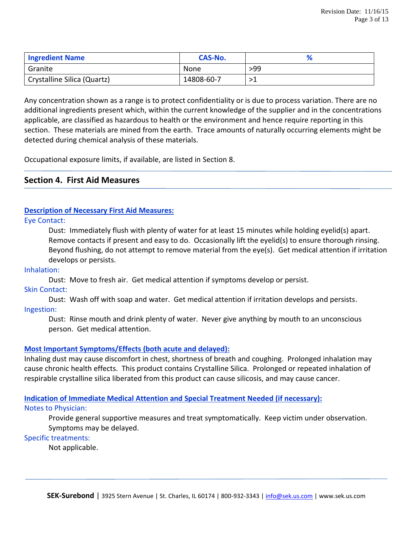| <b>Ingredient Name</b>      | <b>CAS-No.</b> |     |
|-----------------------------|----------------|-----|
| Granite                     | None           | >99 |
| Crystalline Silica (Quartz) | 14808-60-7     | >1  |

Any concentration shown as a range is to protect confidentiality or is due to process variation. There are no additional ingredients present which, within the current knowledge of the supplier and in the concentrations applicable, are classified as hazardous to health or the environment and hence require reporting in this section. These materials are mined from the earth. Trace amounts of naturally occurring elements might be detected during chemical analysis of these materials.

Occupational exposure limits, if available, are listed in Section 8.

# **Section 4. First Aid Measures**

# **Description of Necessary First Aid Measures:**

#### Eye Contact:

Dust: Immediately flush with plenty of water for at least 15 minutes while holding eyelid(s) apart. Remove contacts if present and easy to do. Occasionally lift the eyelid(s) to ensure thorough rinsing. Beyond flushing, do not attempt to remove material from the eye(s). Get medical attention if irritation develops or persists.

#### Inhalation:

Dust: Move to fresh air. Get medical attention if symptoms develop or persist.

#### Skin Contact:

Dust: Wash off with soap and water. Get medical attention if irritation develops and persists. Ingestion:

Dust: Rinse mouth and drink plenty of water. Never give anything by mouth to an unconscious person. Get medical attention.

# **Most Important Symptoms/Effects (both acute and delayed):**

Inhaling dust may cause discomfort in chest, shortness of breath and coughing. Prolonged inhalation may cause chronic health effects. This product contains Crystalline Silica. Prolonged or repeated inhalation of respirable crystalline silica liberated from this product can cause silicosis, and may cause cancer.

# **Indication of Immediate Medical Attention and Special Treatment Needed (if necessary):**

#### Notes to Physician:

Provide general supportive measures and treat symptomatically. Keep victim under observation. Symptoms may be delayed.

# Specific treatments:

Not applicable.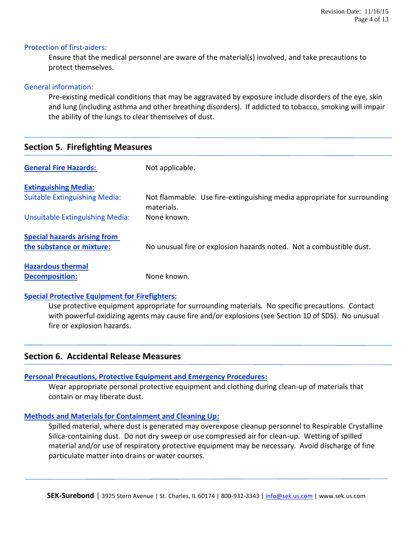#### Protection of first-aiders:

Ensure that the medical personnel are aware of the material(s) involved, and take precautions to protect themselves.

#### General information:

Pre-existing medical conditions that may be aggravated by exposure include disorders of the eye, skin and lung (including asthma and other breathing disorders). If addicted to tobacco, smoking will impair the ability of the lungs to clear themselves of dust.

# **Section 5. Firefighting Measures**

| <b>General Fire Hazards:</b>         | Not applicable.                                                                       |
|--------------------------------------|---------------------------------------------------------------------------------------|
| <b>Extinguishing Media:</b>          |                                                                                       |
| <b>Suitable Extinguishing Media:</b> | Not flammable. Use fire-extinguishing media appropriate for surrounding<br>materials. |
| Unsuitable Extinguishing Media:      | None known.                                                                           |
| <b>Special hazards arising from</b>  |                                                                                       |
| the substance or mixture:            | No unusual fire or explosion hazards noted. Not a combustible dust.                   |
| <b>Hazardous thermal</b>             |                                                                                       |
| <b>Decomposition:</b>                | None known.                                                                           |

# **Special Protective Equipment for Firefighters:**

Use protective equipment appropriate for surrounding materials. No specific precautions. Contact with powerful oxidizing agents may cause fire and/or explosions (see Section 10 of SDS). No unusual fire or explosion hazards.

# **Section 6. Accidental Release Measures**

# **Personal Precautions, Protective Equipment and Emergency Procedures:**

Wear appropriate personal protective equipment and clothing during clean-up of materials that contain or may liberate dust.

# **Methods and Materials for Containment and Cleaning Up:**

Spilled material, where dust is generated may overexpose cleanup personnel to Respirable Crystalline Silica-containing dust. Do not dry sweep or use compressed air for clean-up. Wetting of spilled material and/or use of respiratory protective equipment may be necessary. Avoid discharge of fine particulate matter into drains or water courses.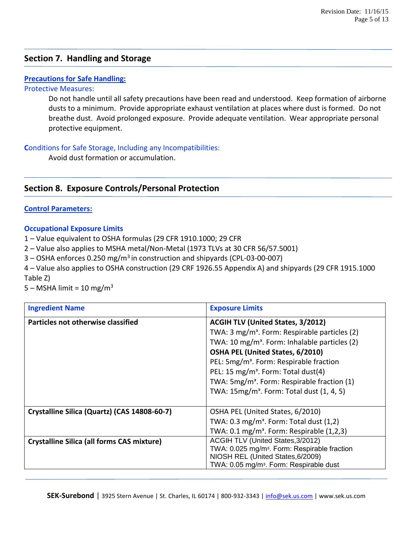# **Section 7. Handling and Storage**

# **Precautions for Safe Handling:**

## Protective Measures:

Do not handle until all safety precautions have been read and understood. Keep formation of airborne dusts to a minimum. Provide appropriate exhaust ventilation at places where dust is formed. Do not breathe dust. Avoid prolonged exposure. Provide adequate ventilation. Wear appropriate personal protective equipment.

# **C**onditions for Safe Storage, Including any Incompatibilities:

Avoid dust formation or accumulation.

# **Section 8. Exposure Controls/Personal Protection**

# **Control Parameters:**

# **Occupational Exposure Limits**

1 – Value equivalent to OSHA formulas (29 CFR 1910.1000; 29 CFR

2 – Value also applies to MSHA metal/Non-Metal (1973 TLVs at 30 CFR 56/57.5001)

3 – OSHA enforces 0.250 mg/m<sup>3</sup> in construction and shipyards (CPL-03-00-007)

4 – Value also applies to OSHA construction (29 CRF 1926.55 Appendix A) and shipyards (29 CFR 1915.1000 Table Z)

 $5 - MSHA$  limit = 10 mg/m<sup>3</sup>

| <b>Ingredient Name</b>                            | <b>Exposure Limits</b>                                    |  |
|---------------------------------------------------|-----------------------------------------------------------|--|
| Particles not otherwise classified                | <b>ACGIH TLV (United States, 3/2012)</b>                  |  |
|                                                   | TWA: 3 mg/m <sup>3</sup> . Form: Respirable particles (2) |  |
|                                                   | TWA: 10 mg/m <sup>3</sup> . Form: Inhalable particles (2) |  |
|                                                   | OSHA PEL (United States, 6/2010)                          |  |
|                                                   | PEL: 5mg/m <sup>3</sup> . Form: Respirable fraction       |  |
|                                                   | PEL: 15 mg/m <sup>3</sup> . Form: Total dust(4)           |  |
|                                                   | TWA: 5mg/m <sup>3</sup> . Form: Respirable fraction (1)   |  |
|                                                   | TWA: 15mg/m <sup>3</sup> . Form: Total dust (1, 4, 5)     |  |
|                                                   |                                                           |  |
| Crystalline Silica (Quartz) (CAS 14808-60-7)      | OSHA PEL (United States, 6/2010)                          |  |
|                                                   | TWA: $0.3 \text{ mg/m}^3$ . Form: Total dust $(1,2)$      |  |
|                                                   | TWA: $0.1 \text{ mg/m}^3$ . Form: Respirable $(1,2,3)$    |  |
| <b>Crystalline Silica (all forms CAS mixture)</b> | ACGIH TLV (United States, 3/2012)                         |  |
|                                                   | TWA: 0.025 mg/m <sup>3</sup> . Form: Respirable fraction  |  |
|                                                   | NIOSH REL (United States, 6/2009)                         |  |
|                                                   | TWA: 0.05 mg/m <sup>3</sup> . Form: Respirable dust       |  |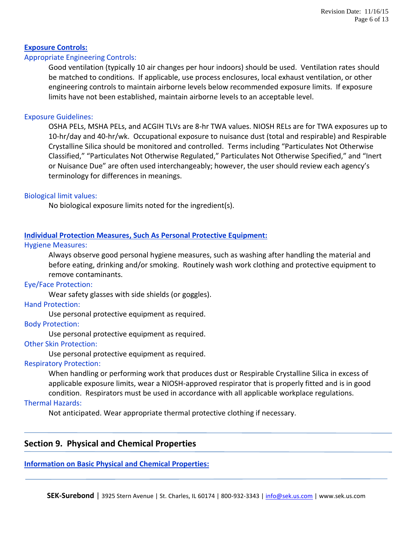# **Exposure Controls:**

## Appropriate Engineering Controls:

Good ventilation (typically 10 air changes per hour indoors) should be used. Ventilation rates should be matched to conditions. If applicable, use process enclosures, local exhaust ventilation, or other engineering controls to maintain airborne levels below recommended exposure limits. If exposure limits have not been established, maintain airborne levels to an acceptable level.

#### Exposure Guidelines:

OSHA PELs, MSHA PELs, and ACGIH TLVs are 8-hr TWA values. NIOSH RELs are for TWA exposures up to 10-hr/day and 40-hr/wk. Occupational exposure to nuisance dust (total and respirable) and Respirable Crystalline Silica should be monitored and controlled. Terms including "Particulates Not Otherwise Classified," "Particulates Not Otherwise Regulated," Particulates Not Otherwise Specified," and "Inert or Nuisance Due" are often used interchangeably; however, the user should review each agency's terminology for differences in meanings.

#### Biological limit values:

No biological exposure limits noted for the ingredient(s).

# **Individual Protection Measures, Such As Personal Protective Equipment:**

#### Hygiene Measures:

Always observe good personal hygiene measures, such as washing after handling the material and before eating, drinking and/or smoking. Routinely wash work clothing and protective equipment to remove contaminants.

#### Eye/Face Protection:

Wear safety glasses with side shields (or goggles).

#### Hand Protection:

Use personal protective equipment as required.

#### Body Protection:

Use personal protective equipment as required.

#### Other Skin Protection:

Use personal protective equipment as required.

#### Respiratory Protection:

When handling or performing work that produces dust or Respirable Crystalline Silica in excess of applicable exposure limits, wear a NIOSH-approved respirator that is properly fitted and is in good condition. Respirators must be used in accordance with all applicable workplace regulations.

# Thermal Hazards:

Not anticipated. Wear appropriate thermal protective clothing if necessary.

# **Section 9. Physical and Chemical Properties**

#### **Information on Basic Physical and Chemical Properties:**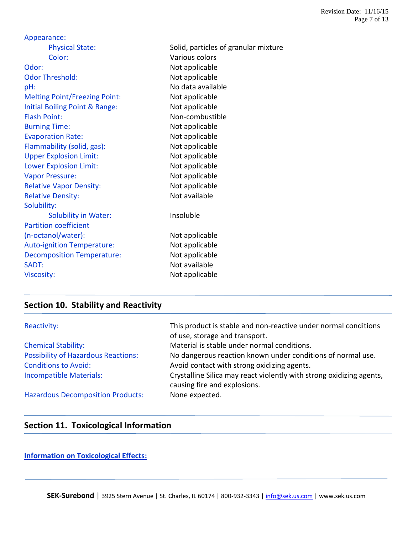| Appearance:                          |                                      |
|--------------------------------------|--------------------------------------|
| <b>Physical State:</b>               | Solid, particles of granular mixture |
| Color:                               | Various colors                       |
| Odor:                                | Not applicable                       |
| <b>Odor Threshold:</b>               | Not applicable                       |
| pH:                                  | No data available                    |
| <b>Melting Point/Freezing Point:</b> | Not applicable                       |
| Initial Boiling Point & Range:       | Not applicable                       |
| <b>Flash Point:</b>                  | Non-combustible                      |
| <b>Burning Time:</b>                 | Not applicable                       |
| <b>Evaporation Rate:</b>             | Not applicable                       |
| Flammability (solid, gas):           | Not applicable                       |
| <b>Upper Explosion Limit:</b>        | Not applicable                       |
| <b>Lower Explosion Limit:</b>        | Not applicable                       |
| <b>Vapor Pressure:</b>               | Not applicable                       |
| <b>Relative Vapor Density:</b>       | Not applicable                       |
| <b>Relative Density:</b>             | Not available                        |
| Solubility:                          |                                      |
| <b>Solubility in Water:</b>          | Insoluble                            |
| <b>Partition coefficient</b>         |                                      |
| (n-octanol/water):                   | Not applicable                       |
| <b>Auto-ignition Temperature:</b>    | Not applicable                       |
| <b>Decomposition Temperature:</b>    | Not applicable                       |
| SADT:                                | Not available                        |
| <b>Viscosity:</b>                    | Not applicable                       |
|                                      |                                      |

# **Section 10. Stability and Reactivity**

| Reactivity:                                | This product is stable and non-reactive under normal conditions<br>of use, storage and transport.    |
|--------------------------------------------|------------------------------------------------------------------------------------------------------|
| <b>Chemical Stability:</b>                 | Material is stable under normal conditions.                                                          |
| <b>Possibility of Hazardous Reactions:</b> | No dangerous reaction known under conditions of normal use.                                          |
| <b>Conditions to Avoid:</b>                | Avoid contact with strong oxidizing agents.                                                          |
| <b>Incompatible Materials:</b>             | Crystalline Silica may react violently with strong oxidizing agents,<br>causing fire and explosions. |
| <b>Hazardous Decomposition Products:</b>   | None expected.                                                                                       |

# **Section 11. Toxicological Information**

**Information on Toxicological Effects:**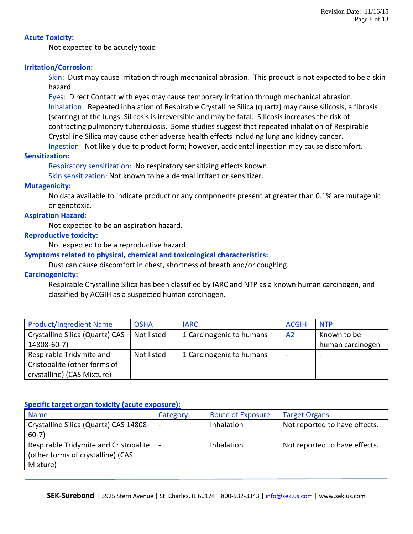## **Acute Toxicity:**

Not expected to be acutely toxic.

# **Irritation/Corrosion:**

Skin: Dust may cause irritation through mechanical abrasion. This product is not expected to be a skin hazard.

Eyes: Direct Contact with eyes may cause temporary irritation through mechanical abrasion. Inhalation: Repeated inhalation of Respirable Crystalline Silica (quartz) may cause silicosis, a fibrosis (scarring) of the lungs. Silicosis is irreversible and may be fatal. Silicosis increases the risk of contracting pulmonary tuberculosis. Some studies suggest that repeated inhalation of Respirable Crystalline Silica may cause other adverse health effects including lung and kidney cancer. Ingestion: Not likely due to product form; however, accidental ingestion may cause discomfort.

# **Sensitization:**

Respiratory sensitization: No respiratory sensitizing effects known.

Skin sensitization: Not known to be a dermal irritant or sensitizer.

#### **Mutagenicity:**

No data available to indicate product or any components present at greater than 0.1% are mutagenic or genotoxic.

#### **Aspiration Hazard:**

Not expected to be an aspiration hazard.

#### **Reproductive toxicity:**

Not expected to be a reproductive hazard.

#### **Symptoms related to physical, chemical and toxicological characteristics:**

Dust can cause discomfort in chest, shortness of breath and/or coughing.

# **Carcinogenicity:**

Respirable Crystalline Silica has been classified by IARC and NTP as a known human carcinogen, and classified by ACGIH as a suspected human carcinogen.

| <b>Product/Ingredient Name</b>  | <b>OSHA</b> | <b>IARC</b>              | <b>ACGIH</b>   | <b>NTP</b>               |
|---------------------------------|-------------|--------------------------|----------------|--------------------------|
| Crystalline Silica (Quartz) CAS | Not listed  | 1 Carcinogenic to humans | A <sub>2</sub> | Known to be              |
| 14808-60-7)                     |             |                          |                | human carcinogen         |
| Respirable Tridymite and        | Not listed  | 1 Carcinogenic to humans |                | $\overline{\phantom{a}}$ |
| Cristobalite (other forms of    |             |                          |                |                          |
| crystalline) (CAS Mixture)      |             |                          |                |                          |

#### **Specific target organ toxicity (acute exposure):**

| <b>Name</b>                            | Category | <b>Route of Exposure</b> | <b>Target Organs</b>          |
|----------------------------------------|----------|--------------------------|-------------------------------|
| Crystalline Silica (Quartz) CAS 14808- |          | <b>Inhalation</b>        | Not reported to have effects. |
| $60-7)$                                |          |                          |                               |
| Respirable Tridymite and Cristobalite  |          | <b>Inhalation</b>        | Not reported to have effects. |
| (other forms of crystalline) (CAS      |          |                          |                               |
| Mixture)                               |          |                          |                               |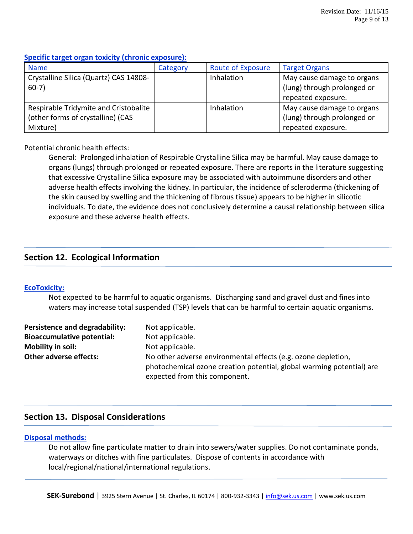# **Specific target organ toxicity (chronic exposure):**

| <b>Name</b>                            | Category | <b>Route of Exposure</b> | <b>Target Organs</b>        |
|----------------------------------------|----------|--------------------------|-----------------------------|
| Crystalline Silica (Quartz) CAS 14808- |          | <b>Inhalation</b>        | May cause damage to organs  |
| $60-7)$                                |          |                          | (lung) through prolonged or |
|                                        |          |                          | repeated exposure.          |
| Respirable Tridymite and Cristobalite  |          | <b>Inhalation</b>        | May cause damage to organs  |
| (other forms of crystalline) (CAS      |          |                          | (lung) through prolonged or |
| Mixture)                               |          |                          | repeated exposure.          |

# Potential chronic health effects:

General: Prolonged inhalation of Respirable Crystalline Silica may be harmful. May cause damage to organs (lungs) through prolonged or repeated exposure. There are reports in the literature suggesting that excessive Crystalline Silica exposure may be associated with autoimmune disorders and other adverse health effects involving the kidney. In particular, the incidence of scleroderma (thickening of the skin caused by swelling and the thickening of fibrous tissue) appears to be higher in silicotic individuals. To date, the evidence does not conclusively determine a causal relationship between silica exposure and these adverse health effects.

# **Section 12. Ecological Information**

# **EcoToxicity:**

Not expected to be harmful to aquatic organisms. Discharging sand and gravel dust and fines into waters may increase total suspended (TSP) levels that can be harmful to certain aquatic organisms.

| Persistence and degradability:    | Not applicable.                                                                                                                        |
|-----------------------------------|----------------------------------------------------------------------------------------------------------------------------------------|
| <b>Bioaccumulative potential:</b> | Not applicable.                                                                                                                        |
| Mobility in soil:                 | Not applicable.                                                                                                                        |
| <b>Other adverse effects:</b>     | No other adverse environmental effects (e.g. ozone depletion,<br>photochemical ozone creation potential, global warming potential) are |
|                                   | expected from this component.                                                                                                          |

# **Section 13. Disposal Considerations**

# **Disposal methods:**

Do not allow fine particulate matter to drain into sewers/water supplies. Do not contaminate ponds, waterways or ditches with fine particulates. Dispose of contents in accordance with local/regional/national/international regulations.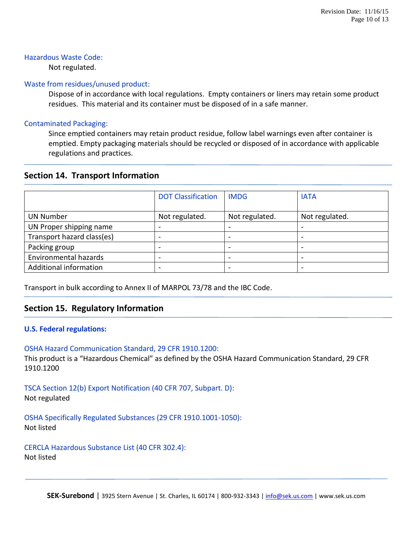## Hazardous Waste Code:

Not regulated.

#### Waste from residues/unused product:

Dispose of in accordance with local regulations. Empty containers or liners may retain some product residues. This material and its container must be disposed of in a safe manner.

## Contaminated Packaging:

Since emptied containers may retain product residue, follow label warnings even after container is emptied. Empty packaging materials should be recycled or disposed of in accordance with applicable regulations and practices.

# **Section 14. Transport Information**

|                            | <b>DOT Classification</b> | <b>IMDG</b>    | <b>IATA</b>              |
|----------------------------|---------------------------|----------------|--------------------------|
| <b>UN Number</b>           | Not regulated.            | Not regulated. | Not regulated.           |
| UN Proper shipping name    |                           |                |                          |
| Transport hazard class(es) | -                         |                | $\overline{\phantom{0}}$ |
| Packing group              |                           |                | $\overline{\phantom{0}}$ |
| Environmental hazards      | -                         |                | -                        |
| Additional information     |                           |                | -                        |

Transport in bulk according to Annex II of MARPOL 73/78 and the IBC Code.

# **Section 15. Regulatory Information**

# **U.S. Federal regulations:**

OSHA Hazard Communication Standard, 29 CFR 1910.1200: This product is a "Hazardous Chemical" as defined by the OSHA Hazard Communication Standard, 29 CFR 1910.1200

TSCA Section 12(b) Export Notification (40 CFR 707, Subpart. D): Not regulated

OSHA Specifically Regulated Substances (29 CFR 1910.1001-1050): Not listed

# CERCLA Hazardous Substance List (40 CFR 302.4):

Not listed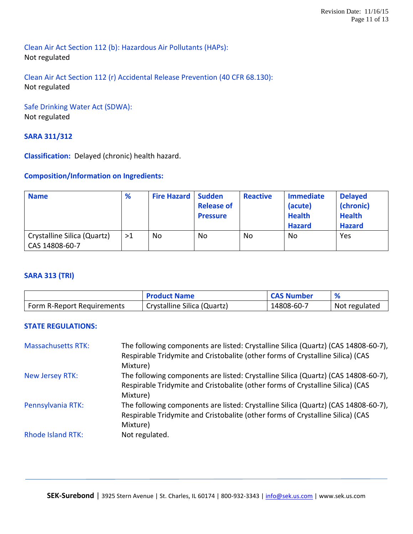Clean Air Act Section 112 (b): Hazardous Air Pollutants (HAPs): Not regulated

Clean Air Act Section 112 (r) Accidental Release Prevention (40 CFR 68.130): Not regulated

# Safe Drinking Water Act (SDWA): Not regulated

# **SARA 311/312**

**Classification:** Delayed (chronic) health hazard.

# **Composition/Information on Ingredients:**

| <b>Name</b>                                   | %  | <b>Fire Hazard   Sudden</b> | <b>Release of</b><br><b>Pressure</b> | <b>Reactive</b> | <b>Immediate</b><br>(acute)<br><b>Health</b><br><b>Hazard</b> | <b>Delayed</b><br>(chronic)<br><b>Health</b><br><b>Hazard</b> |
|-----------------------------------------------|----|-----------------------------|--------------------------------------|-----------------|---------------------------------------------------------------|---------------------------------------------------------------|
| Crystalline Silica (Quartz)<br>CAS 14808-60-7 | >1 | No                          | No                                   | <b>No</b>       | <b>No</b>                                                     | Yes                                                           |

# **SARA 313 (TRI)**

|                            | <b>Product Name</b>         | <b>CAS Number</b> |               |
|----------------------------|-----------------------------|-------------------|---------------|
| Form R-Report Requirements | Crystalline Silica (Quartz) | 14808-60-7        | Not regulated |

# **STATE REGULATIONS:**

| <b>Massachusetts RTK:</b> | The following components are listed: Crystalline Silica (Quartz) (CAS 14808-60-7),<br>Respirable Tridymite and Cristobalite (other forms of Crystalline Silica) (CAS |
|---------------------------|----------------------------------------------------------------------------------------------------------------------------------------------------------------------|
|                           | Mixture)                                                                                                                                                             |
| New Jersey RTK:           | The following components are listed: Crystalline Silica (Quartz) (CAS 14808-60-7),                                                                                   |
|                           | Respirable Tridymite and Cristobalite (other forms of Crystalline Silica) (CAS                                                                                       |
|                           | Mixture)                                                                                                                                                             |
| Pennsylvania RTK:         | The following components are listed: Crystalline Silica (Quartz) (CAS 14808-60-7),<br>Respirable Tridymite and Cristobalite (other forms of Crystalline Silica) (CAS |
|                           | Mixture)                                                                                                                                                             |
| <b>Rhode Island RTK:</b>  | Not regulated.                                                                                                                                                       |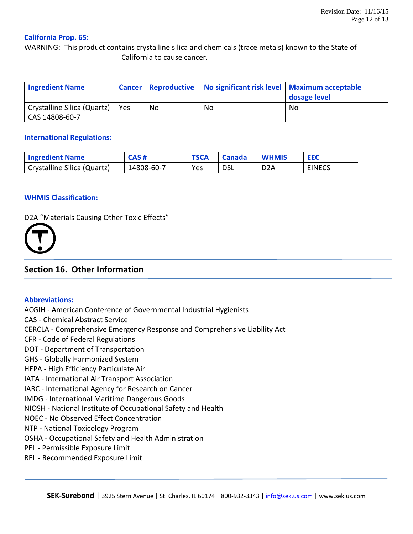## **California Prop. 65:**

WARNING: This product contains crystalline silica and chemicals (trace metals) known to the State of California to cause cancer.

| <b>Ingredient Name</b>                        |     |    | Cancer   Reproductive   No significant risk level   Maximum acceptable | dosage level |
|-----------------------------------------------|-----|----|------------------------------------------------------------------------|--------------|
| Crystalline Silica (Quartz)<br>CAS 14808-60-7 | Yes | No | No                                                                     | No           |

#### **International Regulations:**

| <b>Ingredient Name</b>      | CAS#       | <b>TSCA</b> | <b>Canada</b> | <b>WHMIS</b>     | <b>EEC</b>    |
|-----------------------------|------------|-------------|---------------|------------------|---------------|
| Crystalline Silica (Quartz) | 14808-60-7 | Yes         | <b>DSL</b>    | D <sub>2</sub> A | <b>EINECS</b> |

#### **WHMIS Classification:**

D2A "Materials Causing Other Toxic Effects"



# **Section 16. Other Information**

#### **Abbreviations:**

ACGIH - American Conference of Governmental Industrial Hygienists CAS - Chemical Abstract Service CERCLA - Comprehensive Emergency Response and Comprehensive Liability Act CFR - Code of Federal Regulations DOT - Department of Transportation GHS - Globally Harmonized System HEPA - High Efficiency Particulate Air IATA - International Air Transport Association IARC - International Agency for Research on Cancer IMDG - International Maritime Dangerous Goods NIOSH - National Institute of Occupational Safety and Health NOEC - No Observed Effect Concentration NTP - National Toxicology Program OSHA - Occupational Safety and Health Administration PEL - Permissible Exposure Limit REL - Recommended Exposure Limit